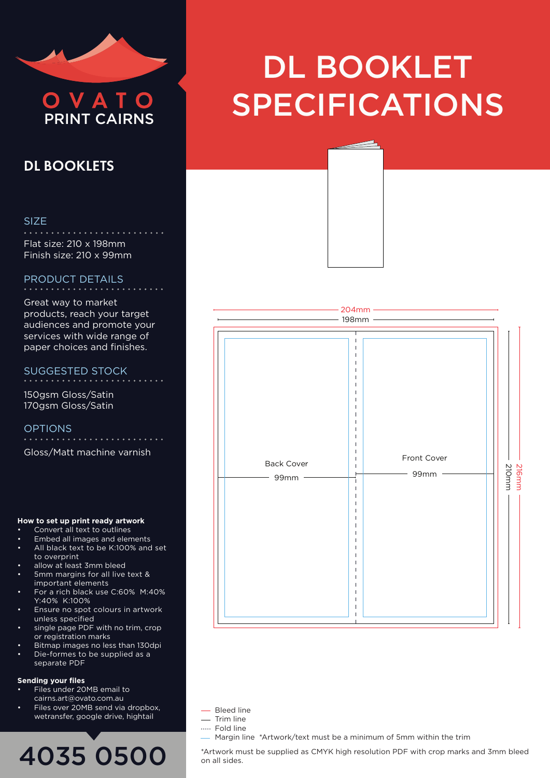

## DL BOOKLETS

### SIZE

Flat size: 210 x 198mm Finish size: 210 x 99mm

## PRODUCT DETAILS

Great way to market products, reach your target audiences and promote your services with wide range of paper choices and finishes.

#### SUGGESTED STOCK . . . . . . . . . . . . . . . . .

150gsm Gloss/Satin 170gsm Gloss/Satin

OPTIONS Gloss/Matt machine varnish

## **How to set up print ready artwork**

- Convert all text to outlines
- Embed all images and elements
- All black text to be K:100% and set to overprint
- allow at least 3mm bleed
- 5mm margins for all live text & important elements
- For a rich black use C:60% M:40% Y:40% K:100%
- Ensure no spot colours in artwork unless specified
- single page PDF with no trim, crop or registration marks
- Bitmap images no less than 130dpi • Die-formes to be supplied as a
- separate PDF

#### **Sending your files**

- Files under 20MB email to cairns.art@ovato.com.au
- Files over 20MB send via dropbox, wetransfer, google drive, hightail

## 4035 0500

# DL BOOKLET OVATO SPECIFICATIONS





- Bleed line
- Trim line
- ..... Fold line
	- Margin line \*Artwork/text must be a minimum of 5mm within the trim

\*Artwork must be supplied as CMYK high resolution PDF with crop marks and 3mm bleed on all sides.